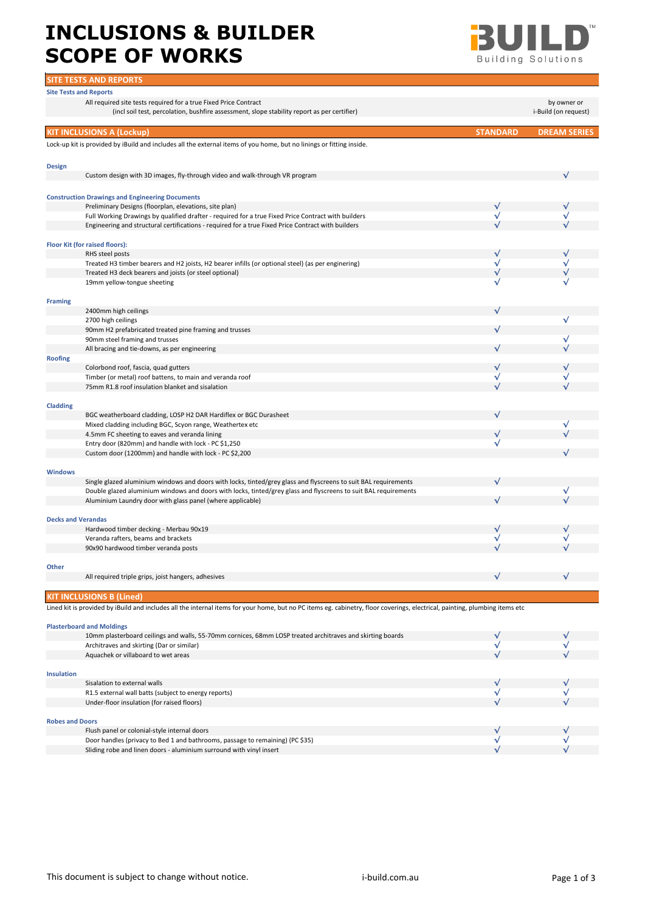## INCLUSIONS & BUILDER **BUILDER SCOPE OF WORKS**



|                           | <b>SITE TESTS AND REPORTS</b>                                                                                                                                                 |                 |                      |
|---------------------------|-------------------------------------------------------------------------------------------------------------------------------------------------------------------------------|-----------------|----------------------|
|                           | <b>Site Tests and Reports</b>                                                                                                                                                 |                 |                      |
|                           | All required site tests required for a true Fixed Price Contract                                                                                                              |                 | by owner or          |
|                           | (incl soil test, percolation, bushfire assessment, slope stability report as per certifier)                                                                                   |                 | i-Build (on request) |
|                           | <b>KIT INCLUSIONS A (Lockup)</b>                                                                                                                                              | <b>STANDARD</b> | <b>DREAM SERIES</b>  |
|                           | Lock-up kit is provided by iBuild and includes all the external items of you home, but no linings or fitting inside.                                                          |                 |                      |
|                           |                                                                                                                                                                               |                 |                      |
| <b>Design</b>             |                                                                                                                                                                               |                 |                      |
|                           | Custom design with 3D images, fly-through video and walk-through VR program                                                                                                   |                 |                      |
|                           | <b>Construction Drawings and Engineering Documents</b>                                                                                                                        |                 |                      |
|                           | Preliminary Designs (floorplan, elevations, site plan)                                                                                                                        | $\sqrt{}$       |                      |
|                           | Full Working Drawings by qualified drafter - required for a true Fixed Price Contract with builders                                                                           | $\sqrt{}$       |                      |
|                           | Engineering and structural certifications - required for a true Fixed Price Contract with builders                                                                            |                 |                      |
|                           | Floor Kit (for raised floors):                                                                                                                                                |                 |                      |
|                           | RHS steel posts                                                                                                                                                               | $\sqrt{}$       |                      |
|                           | Treated H3 timber bearers and H2 joists, H2 bearer infills (or optional steel) (as per enginering)                                                                            | $\sqrt{}$       |                      |
|                           | Treated H3 deck bearers and joists (or steel optional)                                                                                                                        | $\sqrt{}$       |                      |
|                           | 19mm yellow-tongue sheeting                                                                                                                                                   | √               |                      |
| <b>Framing</b>            |                                                                                                                                                                               |                 |                      |
|                           | 2400mm high ceilings                                                                                                                                                          |                 |                      |
|                           | 2700 high ceilings                                                                                                                                                            |                 | $\sqrt{}$            |
|                           | 90mm H2 prefabricated treated pine framing and trusses                                                                                                                        |                 |                      |
|                           | 90mm steel framing and trusses<br>All bracing and tie-downs, as per engineering                                                                                               |                 | √                    |
| <b>Roofing</b>            |                                                                                                                                                                               |                 |                      |
|                           | Colorbond roof, fascia, quad gutters                                                                                                                                          |                 |                      |
|                           | Timber (or metal) roof battens, to main and veranda roof                                                                                                                      | $\sqrt{}$       |                      |
|                           | 75mm R1.8 roof insulation blanket and sisalation                                                                                                                              |                 |                      |
|                           |                                                                                                                                                                               |                 |                      |
| <b>Cladding</b>           |                                                                                                                                                                               |                 |                      |
|                           | BGC weatherboard cladding, LOSP H2 DAR Hardiflex or BGC Durasheet                                                                                                             |                 |                      |
|                           | Mixed cladding including BGC, Scyon range, Weathertex etc<br>4.5mm FC sheeting to eaves and veranda lining                                                                    |                 |                      |
|                           | Entry door (820mm) and handle with lock - PC \$1,250                                                                                                                          | $\sqrt{}$       |                      |
|                           | Custom door (1200mm) and handle with lock - PC \$2,200                                                                                                                        |                 |                      |
|                           |                                                                                                                                                                               |                 |                      |
| <b>Windows</b>            |                                                                                                                                                                               |                 |                      |
|                           | Single glazed aluminium windows and doors with locks, tinted/grey glass and flyscreens to suit BAL requirements                                                               |                 |                      |
|                           | Double glazed aluminium windows and doors with locks, tinted/grey glass and flyscreens to suit BAL requirements<br>Aluminium Laundry door with glass panel (where applicable) |                 | √                    |
|                           |                                                                                                                                                                               |                 |                      |
| <b>Decks and Verandas</b> |                                                                                                                                                                               |                 |                      |
|                           | Hardwood timber decking - Merbau 90x19                                                                                                                                        | $\sqrt{ }$      |                      |
|                           | Veranda rafters, beams and brackets                                                                                                                                           | $\sqrt{}$       |                      |
|                           | 90x90 hardwood timber veranda posts                                                                                                                                           |                 |                      |
| Other                     |                                                                                                                                                                               |                 |                      |
|                           | All required triple grips, joist hangers, adhesives                                                                                                                           |                 |                      |
|                           |                                                                                                                                                                               |                 |                      |
|                           | <b>KIT INCLUSIONS B (Lined)</b>                                                                                                                                               |                 |                      |
|                           | Lined kit is provided by iBuild and includes all the internal items for your home, but no PC items eg. cabinetry, floor coverings, electrical, painting, plumbing items etc   |                 |                      |
|                           | <b>Plasterboard and Moldings</b>                                                                                                                                              |                 |                      |
|                           | 10mm plasterboard ceilings and walls, 55-70mm cornices, 68mm LOSP treated architraves and skirting boards                                                                     |                 |                      |
|                           | Architraves and skirting (Dar or similar)                                                                                                                                     | $\sqrt{}$       |                      |
|                           | Aquachek or villaboard to wet areas                                                                                                                                           |                 |                      |
| <b>Insulation</b>         |                                                                                                                                                                               |                 |                      |
|                           | Sisalation to external walls                                                                                                                                                  |                 |                      |
|                           | R1.5 external wall batts (subject to energy reports)                                                                                                                          | $\sqrt{}$       |                      |
|                           | Under-floor insulation (for raised floors)                                                                                                                                    |                 |                      |
|                           |                                                                                                                                                                               |                 |                      |
| <b>Robes and Doors</b>    |                                                                                                                                                                               |                 |                      |
|                           | Flush panel or colonial-style internal doors                                                                                                                                  |                 |                      |
|                           | Door handles (privacy to Bed 1 and bathrooms, passage to remaining) (PC \$35)                                                                                                 | $\sqrt{}$       |                      |
|                           | Sliding robe and linen doors - aluminium surround with vinyl insert                                                                                                           |                 |                      |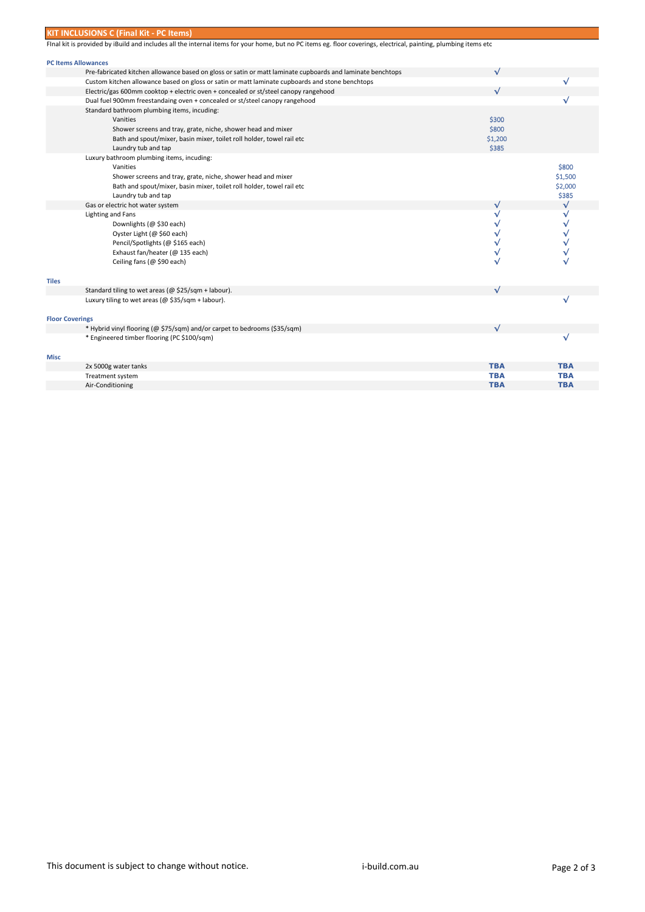|                            | <b>KIT INCLUSIONS C (Final Kit - PC Items)</b>                                                                                                                   |              |              |
|----------------------------|------------------------------------------------------------------------------------------------------------------------------------------------------------------|--------------|--------------|
|                            | Final kit is provided by iBuild and includes all the internal items for your home, but no PC items eg. floor coverings, electrical, painting, plumbing items etc |              |              |
|                            |                                                                                                                                                                  |              |              |
| <b>PC Items Allowances</b> |                                                                                                                                                                  |              |              |
|                            | Pre-fabricated kitchen allowance based on gloss or satin or matt laminate cupboards and laminate benchtops                                                       | √            |              |
|                            | Custom kitchen allowance based on gloss or satin or matt laminate cupboards and stone benchtops                                                                  |              | √            |
|                            | Electric/gas 600mm cooktop + electric oven + concealed or st/steel canopy rangehood                                                                              |              |              |
|                            | Dual fuel 900mm freestandaing oven + concealed or st/steel canopy rangehood                                                                                      |              | √            |
|                            | Standard bathroom plumbing items, incuding:                                                                                                                      |              |              |
|                            | Vanities                                                                                                                                                         | \$300        |              |
|                            | Shower screens and tray, grate, niche, shower head and mixer                                                                                                     | \$800        |              |
|                            | Bath and spout/mixer, basin mixer, toilet roll holder, towel rail etc                                                                                            | \$1,200      |              |
|                            | Laundry tub and tap                                                                                                                                              | \$385        |              |
|                            | Luxury bathroom plumbing items, incuding:                                                                                                                        |              |              |
|                            | Vanities                                                                                                                                                         |              | \$800        |
|                            | Shower screens and tray, grate, niche, shower head and mixer                                                                                                     |              | \$1,500      |
|                            | Bath and spout/mixer, basin mixer, toilet roll holder, towel rail etc                                                                                            |              | \$2,000      |
|                            | Laundry tub and tap                                                                                                                                              |              | \$385        |
|                            | Gas or electric hot water system                                                                                                                                 | $\checkmark$ | $\checkmark$ |
|                            | Lighting and Fans                                                                                                                                                | √            | √            |
|                            | Downlights (@ \$30 each)                                                                                                                                         | √            | $\checkmark$ |
|                            | Oyster Light (@ \$60 each)                                                                                                                                       | $\checkmark$ | ٧            |
|                            | Pencil/Spotlights (@ \$165 each)                                                                                                                                 | √            |              |
|                            | Exhaust fan/heater (@ 135 each)                                                                                                                                  | √            |              |
|                            | Ceiling fans (@ \$90 each)                                                                                                                                       |              |              |
|                            |                                                                                                                                                                  |              |              |
| <b>Tiles</b>               |                                                                                                                                                                  |              |              |
|                            | Standard tiling to wet areas (@ \$25/sqm + labour).                                                                                                              | $\sqrt{}$    |              |
|                            | Luxury tiling to wet areas (@ \$35/sqm + labour).                                                                                                                |              | √            |
|                            |                                                                                                                                                                  |              |              |
| <b>Floor Coverings</b>     |                                                                                                                                                                  |              |              |
|                            | * Hybrid vinyl flooring (@ \$75/sqm) and/or carpet to bedrooms (\$35/sqm)                                                                                        | $\sqrt{ }$   |              |
|                            | * Engineered timber flooring (PC \$100/sqm)                                                                                                                      |              | √            |
|                            |                                                                                                                                                                  |              |              |
| Misc                       |                                                                                                                                                                  |              |              |
|                            | 2x 5000g water tanks                                                                                                                                             | <b>TBA</b>   | <b>TBA</b>   |
|                            | Treatment system                                                                                                                                                 | <b>TBA</b>   | <b>TBA</b>   |
|                            | Air-Conditioning                                                                                                                                                 | <b>TBA</b>   | <b>TBA</b>   |